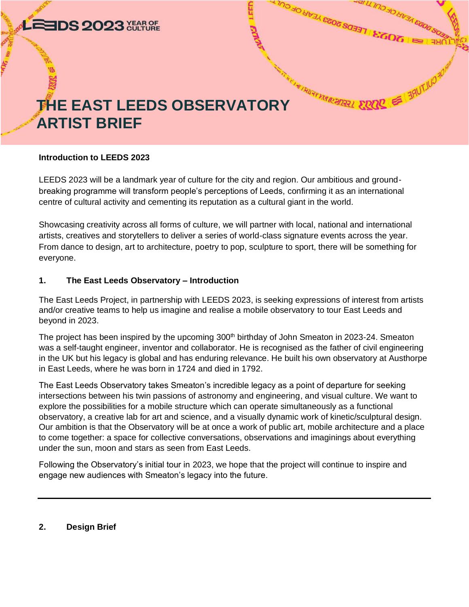

#### **Introduction to LEEDS 2023**

LEEDS 2023 will be a landmark year of culture for the city and region. Our ambitious and groundbreaking programme will transform people's perceptions of Leeds, confirming it as an international centre of cultural activity and cementing its reputation as a cultural giant in the world.

Showcasing creativity across all forms of culture, we will partner with local, national and international artists, creatives and storytellers to deliver a series of world-class signature events across the year. From dance to design, art to architecture, poetry to pop, sculpture to sport, there will be something for everyone.

#### **1. The East Leeds Observatory – Introduction**

The East Leeds Project, in partnership with LEEDS 2023, is seeking expressions of interest from artists and/or creative teams to help us imagine and realise a mobile observatory to tour East Leeds and beyond in 2023.

The project has been inspired by the upcoming 300<sup>th</sup> birthday of John Smeaton in 2023-24. Smeaton was a self-taught engineer, inventor and collaborator. He is recognised as the father of civil engineering in the UK but his legacy is global and has enduring relevance. He built his own observatory at Austhorpe in East Leeds, where he was born in 1724 and died in 1792.

The East Leeds Observatory takes Smeaton's incredible legacy as a point of departure for seeking intersections between his twin passions of astronomy and engineering, and visual culture. We want to explore the possibilities for a mobile structure which can operate simultaneously as a functional observatory, a creative lab for art and science, and a visually dynamic work of kinetic/sculptural design. Our ambition is that the Observatory will be at once a work of public art, mobile architecture and a place to come together: a space for collective conversations, observations and imaginings about everything under the sun, moon and stars as seen from East Leeds.

Following the Observatory's initial tour in 2023, we hope that the project will continue to inspire and engage new audiences with Smeaton's legacy into the future.

### **2. Design Brief**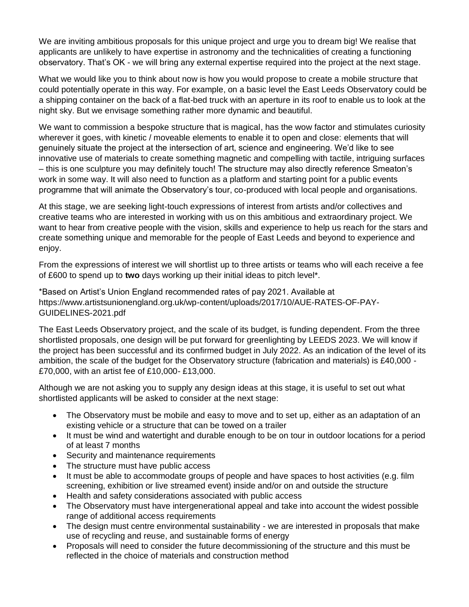We are inviting ambitious proposals for this unique project and urge you to dream big! We realise that applicants are unlikely to have expertise in astronomy and the technicalities of creating a functioning observatory. That's OK - we will bring any external expertise required into the project at the next stage.

What we would like you to think about now is how you would propose to create a mobile structure that could potentially operate in this way. For example, on a basic level the East Leeds Observatory could be a shipping container on the back of a flat-bed truck with an aperture in its roof to enable us to look at the night sky. But we envisage something rather more dynamic and beautiful.

We want to commission a bespoke structure that is magical, has the wow factor and stimulates curiosity wherever it goes, with kinetic / moveable elements to enable it to open and close: elements that will genuinely situate the project at the intersection of art, science and engineering. We'd like to see innovative use of materials to create something magnetic and compelling with tactile, intriguing surfaces – this is one sculpture you may definitely touch! The structure may also directly reference Smeaton's work in some way. It will also need to function as a platform and starting point for a public events programme that will animate the Observatory's tour, co-produced with local people and organisations.

At this stage, we are seeking light-touch expressions of interest from artists and/or collectives and creative teams who are interested in working with us on this ambitious and extraordinary project. We want to hear from creative people with the vision, skills and experience to help us reach for the stars and create something unique and memorable for the people of East Leeds and beyond to experience and enjoy.

From the expressions of interest we will shortlist up to three artists or teams who will each receive a fee of £600 to spend up to **two** days working up their initial ideas to pitch level\*.

\*Based on Artist's Union England recommended rates of pay 2021. Available at [https://www.artistsunionengland.org.uk/wp-content/uploads/2017/10/AUE-RATES-OF-PAY-](https://www.artistsunionengland.org.uk/wp-content/uploads/2017/10/AUE-RATES-OF-PAY-GUIDELINES-2021.pdf)[GUIDELINES-2021.pdf](https://www.artistsunionengland.org.uk/wp-content/uploads/2017/10/AUE-RATES-OF-PAY-GUIDELINES-2021.pdf)

The East Leeds Observatory project, and the scale of its budget, is funding dependent. From the three shortlisted proposals, one design will be put forward for greenlighting by LEEDS 2023. We will know if the project has been successful and its confirmed budget in July 2022. As an indication of the level of its ambition, the scale of the budget for the Observatory structure (fabrication and materials) is £40,000 - £70,000, with an artist fee of £10,000- £13,000.

Although we are not asking you to supply any design ideas at this stage, it is useful to set out what shortlisted applicants will be asked to consider at the next stage:

- The Observatory must be mobile and easy to move and to set up, either as an adaptation of an existing vehicle or a structure that can be towed on a trailer
- It must be wind and watertight and durable enough to be on tour in outdoor locations for a period of at least 7 months
- Security and maintenance requirements
- The structure must have public access
- It must be able to accommodate groups of people and have spaces to host activities (e.g. film screening, exhibition or live streamed event) inside and/or on and outside the structure
- Health and safety considerations associated with public access
- The Observatory must have intergenerational appeal and take into account the widest possible range of additional access requirements
- The design must centre environmental sustainability we are interested in proposals that make use of recycling and reuse, and sustainable forms of energy
- Proposals will need to consider the future decommissioning of the structure and this must be reflected in the choice of materials and construction method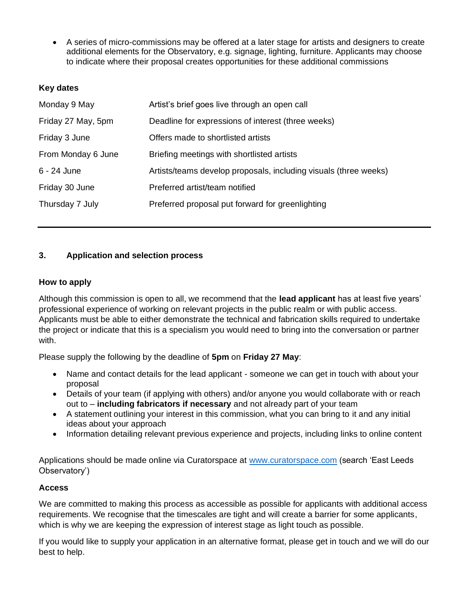• A series of micro-commissions may be offered at a later stage for artists and designers to create additional elements for the Observatory, e.g. signage, lighting, furniture. Applicants may choose to indicate where their proposal creates opportunities for these additional commissions

## **Key dates**

| Monday 9 May       | Artist's brief goes live through an open call                    |
|--------------------|------------------------------------------------------------------|
| Friday 27 May, 5pm | Deadline for expressions of interest (three weeks)               |
| Friday 3 June      | Offers made to shortlisted artists                               |
| From Monday 6 June | Briefing meetings with shortlisted artists                       |
| 6 - 24 June        | Artists/teams develop proposals, including visuals (three weeks) |
| Friday 30 June     | Preferred artist/team notified                                   |
| Thursday 7 July    | Preferred proposal put forward for greenlighting                 |
|                    |                                                                  |

# **3. Application and selection process**

## **How to apply**

Although this commission is open to all, we recommend that the **lead applicant** has at least five years' professional experience of working on relevant projects in the public realm or with public access. Applicants must be able to either demonstrate the technical and fabrication skills required to undertake the project or indicate that this is a specialism you would need to bring into the conversation or partner with.

Please supply the following by the deadline of **5pm** on **Friday 27 May**:

- Name and contact details for the lead applicant someone we can get in touch with about your proposal
- Details of your team (if applying with others) and/or anyone you would collaborate with or reach out to – **including fabricators if necessary** and not already part of your team
- A statement outlining your interest in this commission, what you can bring to it and any initial ideas about your approach
- Information detailing relevant previous experience and projects, including links to online content

Applications should be made online via Curatorspace at [www.curatorspace.com](http://www.curatorspace.com/) (search 'East Leeds Observatory')

### **Access**

We are committed to making this process as accessible as possible for applicants with additional access requirements. We recognise that the timescales are tight and will create a barrier for some applicants, which is why we are keeping the expression of interest stage as light touch as possible.

If you would like to supply your application in an alternative format, please get in touch and we will do our best to help.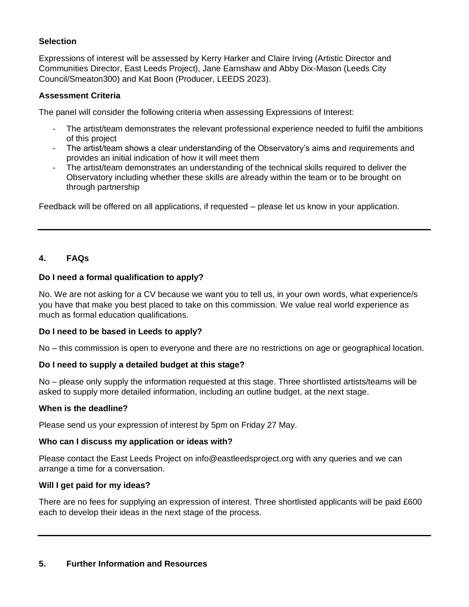## **Selection**

Expressions of interest will be assessed by Kerry Harker and Claire Irving (Artistic Director and Communities Director, East Leeds Project), Jane Earnshaw and Abby Dix-Mason (Leeds City Council/Smeaton300) and Kat Boon (Producer, LEEDS 2023).

## **Assessment Criteria**

The panel will consider the following criteria when assessing Expressions of Interest:

- The artist/team demonstrates the relevant professional experience needed to fulfil the ambitions of this project
- The artist/team shows a clear understanding of the Observatory's aims and requirements and provides an initial indication of how it will meet them
- The artist/team demonstrates an understanding of the technical skills required to deliver the Observatory including whether these skills are already within the team or to be brought on through partnership

Feedback will be offered on all applications, if requested – please let us know in your application.

# **4. FAQs**

## **Do I need a formal qualification to apply?**

No. We are not asking for a CV because we want you to tell us, in your own words, what experience/s you have that make you best placed to take on this commission. We value real world experience as much as formal education qualifications.

### **Do I need to be based in Leeds to apply?**

No – this commission is open to everyone and there are no restrictions on age or geographical location.

### **Do I need to supply a detailed budget at this stage?**

No – please only supply the information requested at this stage. Three shortlisted artists/teams will be asked to supply more detailed information, including an outline budget, at the next stage.

### **When is the deadline?**

Please send us your expression of interest by 5pm on Friday 27 May.

### **Who can I discuss my application or ideas with?**

Please contact the East Leeds Project on info@eastleedsproject.org with any queries and we can arrange a time for a conversation.

### **Will I get paid for my ideas?**

There are no fees for supplying an expression of interest. Three shortlisted applicants will be paid £600 each to develop their ideas in the next stage of the process.